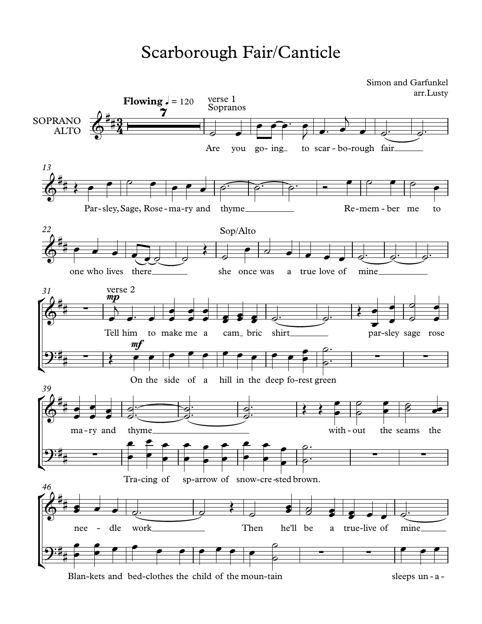## Scarborough Fair/Canticle

 $\sqrt{24}$  $\frac{1}{2}$  $\frac{1}{24}$  $\frac{1}{2}$  $\frac{1}{2}$  $\frac{1}{2}$ SOPRANO ALTO Are you go- ing to scar - bo-rough fair **Flowing**  $\sqrt{ } = 120$ Par-sley, Sage, Rose - ma-ry and thyme Re-mem - ber me to *13* one who lives there she once was a true love of mine. *22* Tell him mp him to make me a cam bric shirt\_\_\_\_\_\_\_\_\_\_\_\_ par-sley sage rose *31* On the side of a mf hill in the deep fo-rest green ma-ry and thyme with-out the seams the *39* Tra-cing of sp-arrow of snow-cre -sted brown. nee - dle work Then he'll be a true-live of mine. *46*  $\frac{27}{9}$   $\frac{1}{4}$ #<br>##3  $\frac{43}{2}$ **Sopranos** verse 1 Simon and Garfunkel arr.Lusty  $\bigoplus_{i=1}^{n}$ # **#** } *p*  $\phi$ <sup>\*</sup>\*  $\bullet$   $\bullet$ #<br>## # Sop/Alto  $\bigoplus$   $\qquad$ #<br>## # ∑ verse 2 ີງ:‡, − # ∑ ∑ ∑  $\circ$   $\circ$   $\circ$ #<br>## **# 22**  $\mathbf{\Theta}:\sharp_{+}%{\rightarrow\searrow^{-}}\left( \mathbf{\Theta}\right) \rightarrow\left( \mathbf{\Theta}\right)$ # ∑ ∑ ∑  $\phi$ <sup>\*</sup>\* \* \* \* # #  $9:46$ # ∑ ∑  $\overrightarrow{a}$  $e$   $\overrightarrow{e}$   $\overrightarrow{e}$   $\overrightarrow{e}$   $\overrightarrow{e}$ **e** de de de la partie de la partie de la partie de la partie de la partie de la partie de la partie de la partie<br>De la partie de la partie de la partie de la partie de la partie de la partie de la partie de la partie de  $\overline{\phantom{0}}$  $\bullet$   $\bullet$   $\bullet$   $\bullet$  $\leftrightarrow$ <sup>œ</sup> ˙ <sup>œ</sup> <sup>œ</sup> <sup>œ</sup> <sup>œ</sup> ˙™ ˙™ ˙™ <sup>Ó</sup> <sup>œ</sup> ˙ <sup>œ</sup> ˙ <sup>œ</sup>  $\bullet$   $\bullet$   $\bullet$   $\bullet$   $\bullet$   $\bullet$   $\bullet$  $\left\{ \begin{array}{cc} \bullet & \bullet \end{array} \right.$  $e$   $\frac{1}{\sqrt{1-\left(\frac{1}{\sqrt{1-\left(\frac{1}{\sqrt{1-\left(\frac{1}{\sqrt{1-\left(\frac{1}{\sqrt{1-\left(\frac{1}{\sqrt{1-\left(\frac{1}{\sqrt{1-\left(\frac{1}{\sqrt{1-\left(\frac{1}{\sqrt{1-\left(\frac{1}{\sqrt{1-\left(\frac{1}{\sqrt{1-\left(\frac{1}{\sqrt{1-\left(\frac{1}{\sqrt{1-\left(\frac{1}{\sqrt{1-\left(\frac{1}{\sqrt{1-\left(\frac{1}{\sqrt{1-\left(\frac{1}{\sqrt{1-\left(\frac{1}{\sqrt{1-\left(\frac{1}{\sqrt{1-\left(\frac{1}{\sqrt$  $\overrightarrow{e}$ t<br>S œ™ œ œ  $^{\circ}$  $\frac{1}{2}$ œ  $\overline{\phantom{a}}$  $\overrightarrow{ }$  $\bullet$   $\bullet$   $\bullet$   $\bullet$   $\bullet$   $\bullet$  $\overrightarrow{e}$  $\bullet$   $\bullet$   $\bullet$  $\overrightarrow{c}$  $\bullet$   $\circ$  $\overrightarrow{ }$  $\overrightarrow{a}$ œ œ Œ œ œ œ œ œ œ œ œ œ œ  $\rho$   $\rho$ .  $\bullet$   $\circ$  $\rho$ .  $\frac{1}{\sqrt{2}}$ ™  $\frac{1}{2}$  $\overrightarrow{e}$  $\frac{1}{\epsilon}$  $\overrightarrow{e}$  $\bullet$   $\bullet$   $\bullet$   $\bullet$  $\bullet$  $\stackrel{\circ}{\phantom{\Big(}\circ\phantom{}}^{\circ}$  $\overline{\phantom{a}}$ ™  $\overbrace{a}$  $\overline{a}$ : ™  $\frac{a}{c}$  $\overline{\mathcal{C}}$ ™  $\frac{1}{2}$  $\bullet$   $\circ$  $\rho$   $\rho$  $\circ$   $\bullet$  $\overline{\mathscr{C}}$   $\overline{\mathscr{C}}$  $\bullet$  $\overline{\mathscr{E}}$ œœ œ œ  $\epsilon$ e grad  $\bullet$   $\bullet$  $\bullet$   $\bullet$   $\bullet$  $\bullet$   $\bullet$   $\bullet$ œ  $\bullet$   $\bullet$   $\bullet$ **e**  $\bullet$   $\bullet$   $\bullet$ œ  $\epsilon$   $\epsilon$   $\epsilon$  $\overline{\phantom{a}}$  $\bullet$ e De L  $\bullet$   $\rho$ .  $\bullet$  $\rho$ .  $\frac{1}{\phi}$ ™  $\bullet$   $\bullet$   $\circ$   $\circ$   $\circ$   $\circ$   $\circ$  $\left\langle \begin{array}{cc} 1 & 1 \ 1 & 1 \end{array} \right\rangle$  $e$   $e$   $e$   $e$   $e$   $e$  $\overline{e}$  $\overline{\phantom{a}}$  $\overline{e}$  $\epsilon$  expansion e e e e e e e e e  $\rho$  $\circ$  $\bullet$   $\bullet$   $\bullet$ 

Blan-kets and bed-clothes the child of the moun-tain sleeps un-a-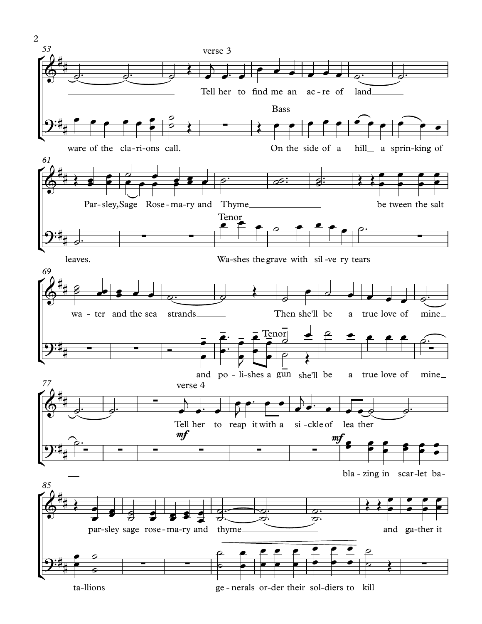